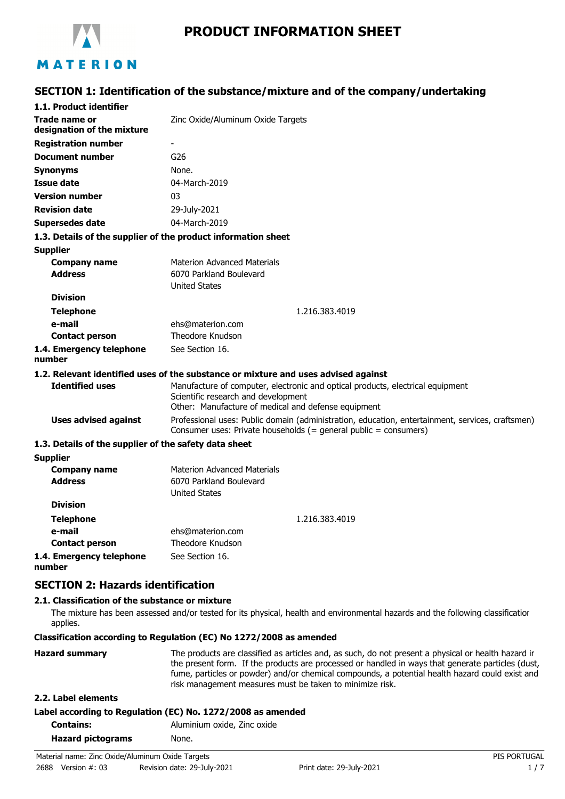

# **PRODUCT INFORMATION SHEET**

# **SECTION 1: Identification of the substance/mixture and of the company/undertaking**

| 1.1. Product identifier                               |                                                                                                                                                                              |  |  |
|-------------------------------------------------------|------------------------------------------------------------------------------------------------------------------------------------------------------------------------------|--|--|
| Trade name or<br>designation of the mixture           | Zinc Oxide/Aluminum Oxide Targets                                                                                                                                            |  |  |
| <b>Registration number</b>                            | $\overline{\phantom{0}}$                                                                                                                                                     |  |  |
| <b>Document number</b>                                | G26                                                                                                                                                                          |  |  |
| <b>Synonyms</b>                                       | None.                                                                                                                                                                        |  |  |
| Issue date                                            | 04-March-2019                                                                                                                                                                |  |  |
| <b>Version number</b>                                 | 03                                                                                                                                                                           |  |  |
| <b>Revision date</b>                                  | 29-July-2021                                                                                                                                                                 |  |  |
| <b>Supersedes date</b>                                | 04-March-2019                                                                                                                                                                |  |  |
|                                                       | 1.3. Details of the supplier of the product information sheet                                                                                                                |  |  |
| <b>Supplier</b>                                       |                                                                                                                                                                              |  |  |
| <b>Company name</b>                                   | <b>Materion Advanced Materials</b>                                                                                                                                           |  |  |
| <b>Address</b>                                        | 6070 Parkland Boulevard                                                                                                                                                      |  |  |
|                                                       | <b>United States</b>                                                                                                                                                         |  |  |
| <b>Division</b>                                       |                                                                                                                                                                              |  |  |
| <b>Telephone</b>                                      | 1.216.383.4019                                                                                                                                                               |  |  |
| e-mail                                                | ehs@materion.com                                                                                                                                                             |  |  |
| <b>Contact person</b>                                 | Theodore Knudson                                                                                                                                                             |  |  |
| 1.4. Emergency telephone<br>number                    | See Section 16.                                                                                                                                                              |  |  |
|                                                       | 1.2. Relevant identified uses of the substance or mixture and uses advised against                                                                                           |  |  |
| <b>Identified uses</b>                                | Manufacture of computer, electronic and optical products, electrical equipment<br>Scientific research and development<br>Other: Manufacture of medical and defense equipment |  |  |
| <b>Uses advised against</b>                           | Professional uses: Public domain (administration, education, entertainment, services, craftsmen)<br>Consumer uses: Private households (= general public = consumers)         |  |  |
| 1.3. Details of the supplier of the safety data sheet |                                                                                                                                                                              |  |  |
| <b>Supplier</b>                                       |                                                                                                                                                                              |  |  |
| <b>Company name</b>                                   | <b>Materion Advanced Materials</b>                                                                                                                                           |  |  |
| <b>Address</b>                                        | 6070 Parkland Boulevard<br><b>United States</b>                                                                                                                              |  |  |
| <b>Division</b>                                       |                                                                                                                                                                              |  |  |
| <b>Telephone</b>                                      | 1.216.383.4019                                                                                                                                                               |  |  |
| e-mail                                                | ehs@materion.com                                                                                                                                                             |  |  |
| <b>Contact person</b>                                 | Theodore Knudson                                                                                                                                                             |  |  |
| 1.4. Emergency telephone                              | See Section 16.                                                                                                                                                              |  |  |

**1.4. Emergency telephone number**

### **SECTION 2: Hazards identification**

### **2.1. Classification of the substance or mixture**

The mixture has been assessed and/or tested for its physical, health and environmental hazards and the following classification applies.

**Classification according to Regulation (EC) No 1272/2008 as amended**

| <b>Hazard summary</b> | The products are classified as articles and, as such, do not present a physical or health hazard ir<br>the present form. If the products are processed or handled in ways that generate particles (dust,<br>fume, particles or powder) and/or chemical compounds, a potential health hazard could exist and |
|-----------------------|-------------------------------------------------------------------------------------------------------------------------------------------------------------------------------------------------------------------------------------------------------------------------------------------------------------|
|                       | risk management measures must be taken to minimize risk.                                                                                                                                                                                                                                                    |
|                       |                                                                                                                                                                                                                                                                                                             |

**2.2. Label elements**

#### **Label according to Regulation (EC) No. 1272/2008 as amended**

| <b>Contains:</b>         | Aluminium oxide, Zinc oxide |
|--------------------------|-----------------------------|
| <b>Hazard pictograms</b> | None.                       |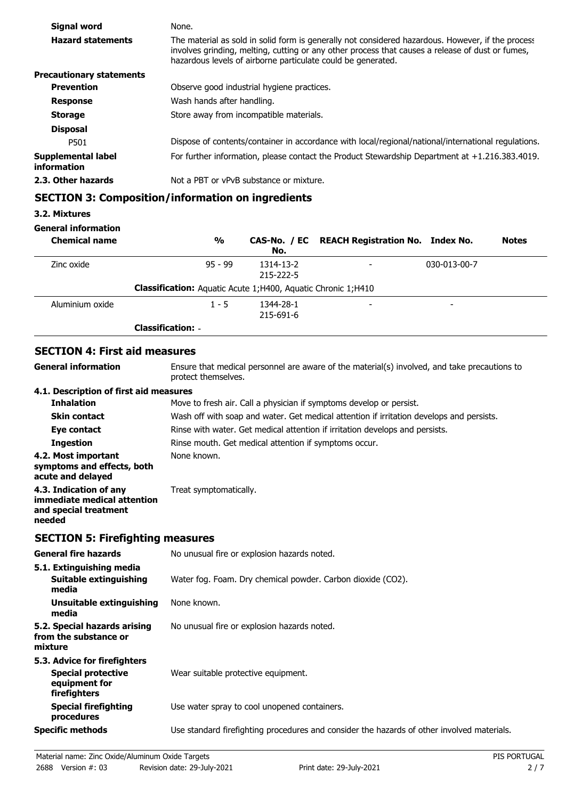| Signal word                              | None.                                                                                                                                                                                                                                                                 |  |
|------------------------------------------|-----------------------------------------------------------------------------------------------------------------------------------------------------------------------------------------------------------------------------------------------------------------------|--|
| <b>Hazard statements</b>                 | The material as sold in solid form is generally not considered hazardous. However, if the process<br>involves grinding, melting, cutting or any other process that causes a release of dust or fumes,<br>hazardous levels of airborne particulate could be generated. |  |
| <b>Precautionary statements</b>          |                                                                                                                                                                                                                                                                       |  |
| <b>Prevention</b>                        | Observe good industrial hygiene practices.                                                                                                                                                                                                                            |  |
| <b>Response</b>                          | Wash hands after handling.                                                                                                                                                                                                                                            |  |
| <b>Storage</b>                           | Store away from incompatible materials.                                                                                                                                                                                                                               |  |
| <b>Disposal</b>                          |                                                                                                                                                                                                                                                                       |  |
| P501                                     | Dispose of contents/container in accordance with local/regional/national/international regulations.                                                                                                                                                                   |  |
| <b>Supplemental label</b><br>information | For further information, please contact the Product Stewardship Department at $+1.216.383.4019$ .                                                                                                                                                                     |  |
| 2.3. Other hazards                       | Not a PBT or vPvB substance or mixture.                                                                                                                                                                                                                               |  |
|                                          |                                                                                                                                                                                                                                                                       |  |

# **SECTION 3: Composition/information on ingredients**

### **3.2. Mixtures**

#### **General information**

| <b>Chemical name</b> | $\frac{0}{0}$                                                       | No.                    | CAS-No. / EC REACH Registration No. Index No. |                          | <b>Notes</b> |
|----------------------|---------------------------------------------------------------------|------------------------|-----------------------------------------------|--------------------------|--------------|
| Zinc oxide           | $95 - 99$                                                           | 1314-13-2<br>215-222-5 |                                               | 030-013-00-7             |              |
|                      | <b>Classification:</b> Aquatic Acute 1;H400, Aquatic Chronic 1;H410 |                        |                                               |                          |              |
| Aluminium oxide      | $1 - 5$                                                             | 1344-28-1<br>215-691-6 | $\overline{\phantom{a}}$                      | $\overline{\phantom{0}}$ |              |
|                      | <b>Classification: -</b>                                            |                        |                                               |                          |              |

# **SECTION 4: First aid measures**

| <b>General information</b>                                                               | Ensure that medical personnel are aware of the material(s) involved, and take precautions to<br>protect themselves. |  |  |
|------------------------------------------------------------------------------------------|---------------------------------------------------------------------------------------------------------------------|--|--|
| 4.1. Description of first aid measures                                                   |                                                                                                                     |  |  |
| <b>Inhalation</b>                                                                        | Move to fresh air. Call a physician if symptoms develop or persist.                                                 |  |  |
| <b>Skin contact</b>                                                                      | Wash off with soap and water. Get medical attention if irritation develops and persists.                            |  |  |
| Eye contact                                                                              | Rinse with water. Get medical attention if irritation develops and persists.                                        |  |  |
| <b>Ingestion</b>                                                                         | Rinse mouth. Get medical attention if symptoms occur.                                                               |  |  |
| 4.2. Most important<br>symptoms and effects, both<br>acute and delayed                   | None known.                                                                                                         |  |  |
| 4.3. Indication of any<br>immediate medical attention<br>and special treatment<br>needed | Treat symptomatically.                                                                                              |  |  |
| <b>SECTION 5: Firefighting measures</b>                                                  |                                                                                                                     |  |  |
| <b>General fire hazards</b>                                                              | No unusual fire or explosion hazards noted.                                                                         |  |  |
| 5.1. Extinguishing media                                                                 |                                                                                                                     |  |  |
| Suitable extinguishing<br>media                                                          | Water fog. Foam. Dry chemical powder. Carbon dioxide (CO2).                                                         |  |  |
| <b>Unsuitable extinguishing</b><br>media                                                 | None known.                                                                                                         |  |  |
| 5.2. Special hazards arising<br>from the substance or<br>mixture                         | No unusual fire or explosion hazards noted.                                                                         |  |  |
| 5.3. Advice for firefighters                                                             |                                                                                                                     |  |  |
| <b>Special protective</b><br>equipment for<br>firefighters                               | Wear suitable protective equipment.                                                                                 |  |  |
| <b>Special firefighting</b><br>procedures                                                | Use water spray to cool unopened containers.                                                                        |  |  |

**Specific methods** Use standard firefighting procedures and consider the hazards of other involved materials.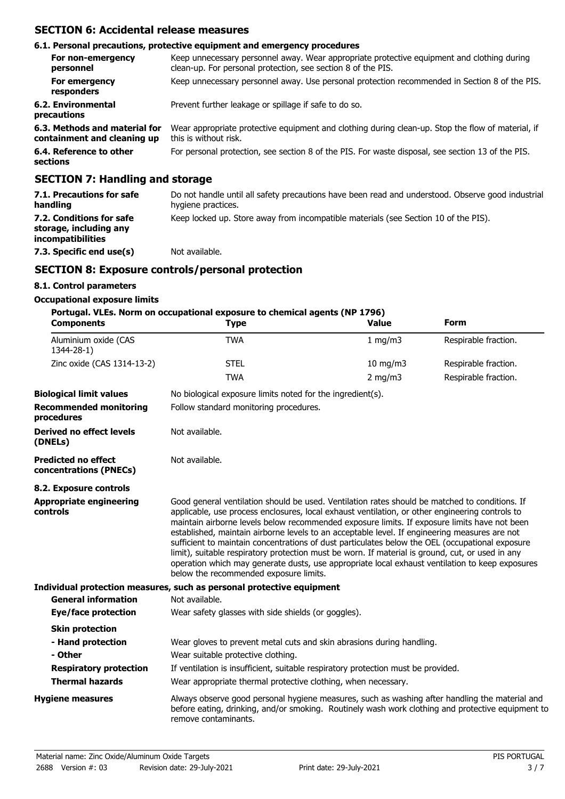# **SECTION 6: Accidental release measures**

|                                                              | 6.1. Personal precautions, protective equipment and emergency procedures                                                                                   |
|--------------------------------------------------------------|------------------------------------------------------------------------------------------------------------------------------------------------------------|
| For non-emergency<br>personnel                               | Keep unnecessary personnel away. Wear appropriate protective equipment and clothing during<br>clean-up. For personal protection, see section 8 of the PIS. |
| For emergency<br>responders                                  | Keep unnecessary personnel away. Use personal protection recommended in Section 8 of the PIS.                                                              |
| 6.2. Environmental<br>precautions                            | Prevent further leakage or spillage if safe to do so.                                                                                                      |
| 6.3. Methods and material for<br>containment and cleaning up | Wear appropriate protective equipment and clothing during clean-up. Stop the flow of material, if<br>this is without risk.                                 |
| 6.4. Reference to other<br>sections                          | For personal protection, see section 8 of the PIS. For waste disposal, see section 13 of the PIS.                                                          |
| <b>SECTION 7: Handling and storage</b>                       |                                                                                                                                                            |

| 7.1. Precautions for safe<br>handling                                          | Do not handle until all safety precautions have been read and understood. Observe good industrial<br>hygiene practices. |
|--------------------------------------------------------------------------------|-------------------------------------------------------------------------------------------------------------------------|
| 7.2. Conditions for safe<br>storage, including any<br><b>incompatibilities</b> | Keep locked up. Store away from incompatible materials (see Section 10 of the PIS).                                     |
| 7.3. Specific end use(s)                                                       | Not available.                                                                                                          |

# **SECTION 8: Exposure controls/personal protection**

### **8.1. Control parameters**

### **Occupational exposure limits**

### **Portugal. VLEs. Norm on occupational exposure to chemical agents (NP 1796)**

| <b>Components</b>                                    | <b>Type</b>                                                                                                                                                                                                                                                                                                                                                                                                                                                                                                                                                                                                                                                                                                                                            | <b>Value</b>  | <b>Form</b>          |
|------------------------------------------------------|--------------------------------------------------------------------------------------------------------------------------------------------------------------------------------------------------------------------------------------------------------------------------------------------------------------------------------------------------------------------------------------------------------------------------------------------------------------------------------------------------------------------------------------------------------------------------------------------------------------------------------------------------------------------------------------------------------------------------------------------------------|---------------|----------------------|
| Aluminium oxide (CAS<br>1344-28-1)                   | <b>TWA</b>                                                                                                                                                                                                                                                                                                                                                                                                                                                                                                                                                                                                                                                                                                                                             | 1 mg/m3       | Respirable fraction. |
| Zinc oxide (CAS 1314-13-2)                           | <b>STEL</b>                                                                                                                                                                                                                                                                                                                                                                                                                                                                                                                                                                                                                                                                                                                                            | $10$ mg/m $3$ | Respirable fraction. |
|                                                      | <b>TWA</b>                                                                                                                                                                                                                                                                                                                                                                                                                                                                                                                                                                                                                                                                                                                                             | $2$ mg/m $3$  | Respirable fraction. |
| <b>Biological limit values</b>                       | No biological exposure limits noted for the ingredient(s).                                                                                                                                                                                                                                                                                                                                                                                                                                                                                                                                                                                                                                                                                             |               |                      |
| <b>Recommended monitoring</b><br>procedures          | Follow standard monitoring procedures.                                                                                                                                                                                                                                                                                                                                                                                                                                                                                                                                                                                                                                                                                                                 |               |                      |
| <b>Derived no effect levels</b><br>(DNELs)           | Not available.                                                                                                                                                                                                                                                                                                                                                                                                                                                                                                                                                                                                                                                                                                                                         |               |                      |
| <b>Predicted no effect</b><br>concentrations (PNECs) | Not available.                                                                                                                                                                                                                                                                                                                                                                                                                                                                                                                                                                                                                                                                                                                                         |               |                      |
| 8.2. Exposure controls                               |                                                                                                                                                                                                                                                                                                                                                                                                                                                                                                                                                                                                                                                                                                                                                        |               |                      |
| <b>Appropriate engineering</b><br>controls           | Good general ventilation should be used. Ventilation rates should be matched to conditions. If<br>applicable, use process enclosures, local exhaust ventilation, or other engineering controls to<br>maintain airborne levels below recommended exposure limits. If exposure limits have not been<br>established, maintain airborne levels to an acceptable level. If engineering measures are not<br>sufficient to maintain concentrations of dust particulates below the OEL (occupational exposure<br>limit), suitable respiratory protection must be worn. If material is ground, cut, or used in any<br>operation which may generate dusts, use appropriate local exhaust ventilation to keep exposures<br>below the recommended exposure limits. |               |                      |
|                                                      | Individual protection measures, such as personal protective equipment                                                                                                                                                                                                                                                                                                                                                                                                                                                                                                                                                                                                                                                                                  |               |                      |
| <b>General information</b>                           | Not available.                                                                                                                                                                                                                                                                                                                                                                                                                                                                                                                                                                                                                                                                                                                                         |               |                      |
| Eye/face protection                                  | Wear safety glasses with side shields (or goggles).                                                                                                                                                                                                                                                                                                                                                                                                                                                                                                                                                                                                                                                                                                    |               |                      |
| <b>Skin protection</b>                               |                                                                                                                                                                                                                                                                                                                                                                                                                                                                                                                                                                                                                                                                                                                                                        |               |                      |
| - Hand protection                                    | Wear gloves to prevent metal cuts and skin abrasions during handling.                                                                                                                                                                                                                                                                                                                                                                                                                                                                                                                                                                                                                                                                                  |               |                      |
| - Other                                              | Wear suitable protective clothing.                                                                                                                                                                                                                                                                                                                                                                                                                                                                                                                                                                                                                                                                                                                     |               |                      |
| <b>Respiratory protection</b>                        | If ventilation is insufficient, suitable respiratory protection must be provided.                                                                                                                                                                                                                                                                                                                                                                                                                                                                                                                                                                                                                                                                      |               |                      |
| <b>Thermal hazards</b>                               | Wear appropriate thermal protective clothing, when necessary.                                                                                                                                                                                                                                                                                                                                                                                                                                                                                                                                                                                                                                                                                          |               |                      |
| <b>Hygiene measures</b>                              | Always observe good personal hygiene measures, such as washing after handling the material and<br>before eating, drinking, and/or smoking. Routinely wash work clothing and protective equipment to<br>remove contaminants.                                                                                                                                                                                                                                                                                                                                                                                                                                                                                                                            |               |                      |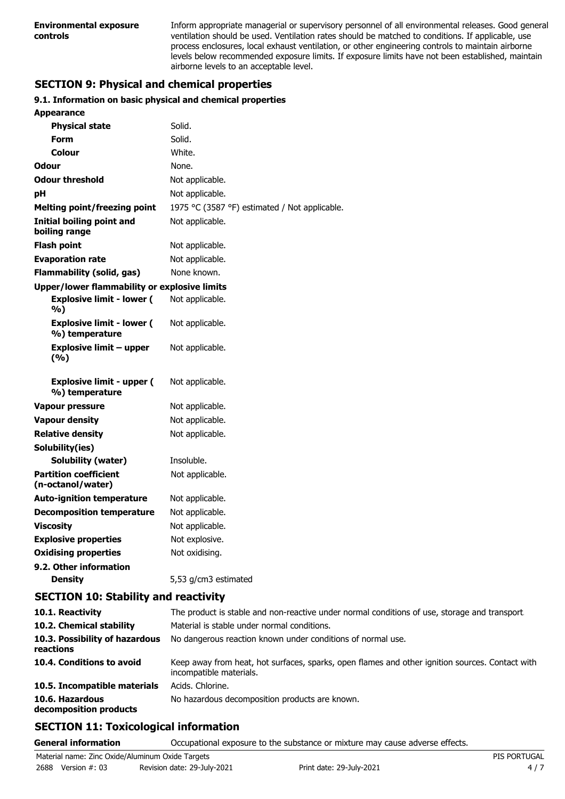Inform appropriate managerial or supervisory personnel of all environmental releases. Good general ventilation should be used. Ventilation rates should be matched to conditions. If applicable, use process enclosures, local exhaust ventilation, or other engineering controls to maintain airborne levels below recommended exposure limits. If exposure limits have not been established, maintain airborne levels to an acceptable level.

# **SECTION 9: Physical and chemical properties**

### **9.1. Information on basic physical and chemical properties**

| Appearance                                          |                                               |
|-----------------------------------------------------|-----------------------------------------------|
| <b>Physical state</b>                               | Solid.                                        |
| Form                                                | Solid.                                        |
| Colour                                              | White.                                        |
| Odour                                               | None.                                         |
| <b>Odour threshold</b>                              | Not applicable.                               |
| рH                                                  | Not applicable.                               |
| <b>Melting point/freezing point</b>                 | 1975 °C (3587 °F) estimated / Not applicable. |
| <b>Initial boiling point and</b><br>boiling range   | Not applicable.                               |
| <b>Flash point</b>                                  | Not applicable.                               |
| <b>Evaporation rate</b>                             | Not applicable.                               |
| <b>Flammability (solid, gas)</b>                    | None known.                                   |
| <b>Upper/lower flammability or explosive limits</b> |                                               |
| <b>Explosive limit - lower (</b><br>%)              | Not applicable.                               |
| <b>Explosive limit - lower (</b><br>%) temperature  | Not applicable.                               |
| <b>Explosive limit - upper</b><br>(%)               | Not applicable.                               |
| <b>Explosive limit - upper (</b><br>%) temperature  | Not applicable.                               |
| <b>Vapour pressure</b>                              | Not applicable.                               |
| <b>Vapour density</b>                               | Not applicable.                               |
| <b>Relative density</b>                             | Not applicable.                               |
| Solubility(ies)                                     |                                               |
| Solubility (water)                                  | Insoluble.                                    |
| <b>Partition coefficient</b><br>(n-octanol/water)   | Not applicable.                               |
| <b>Auto-ignition temperature</b>                    | Not applicable.                               |
| <b>Decomposition temperature</b>                    | Not applicable.                               |
| <b>Viscosity</b>                                    | Not applicable.                               |
| <b>Explosive properties</b>                         | Not explosive.                                |
| <b>Oxidising properties</b>                         | Not oxidising.                                |
| 9.2. Other information                              |                                               |
| <b>Density</b>                                      | 5,53 g/cm3 estimated                          |

# **SECTION 10: Stability and reactivity**

| 10.1. Reactivity                            | The product is stable and non-reactive under normal conditions of use, storage and transport.                              |  |
|---------------------------------------------|----------------------------------------------------------------------------------------------------------------------------|--|
| 10.2. Chemical stability                    | Material is stable under normal conditions.                                                                                |  |
| 10.3. Possibility of hazardous<br>reactions | No dangerous reaction known under conditions of normal use.                                                                |  |
| 10.4. Conditions to avoid                   | Keep away from heat, hot surfaces, sparks, open flames and other ignition sources. Contact with<br>incompatible materials. |  |
| 10.5. Incompatible materials                | Acids. Chlorine.                                                                                                           |  |
| 10.6. Hazardous<br>decomposition products   | No hazardous decomposition products are known.                                                                             |  |

# **SECTION 11: Toxicological information**

**General information C**CCUPATION OCCUPATION EXPOSURE to the substance or mixture may cause adverse effects.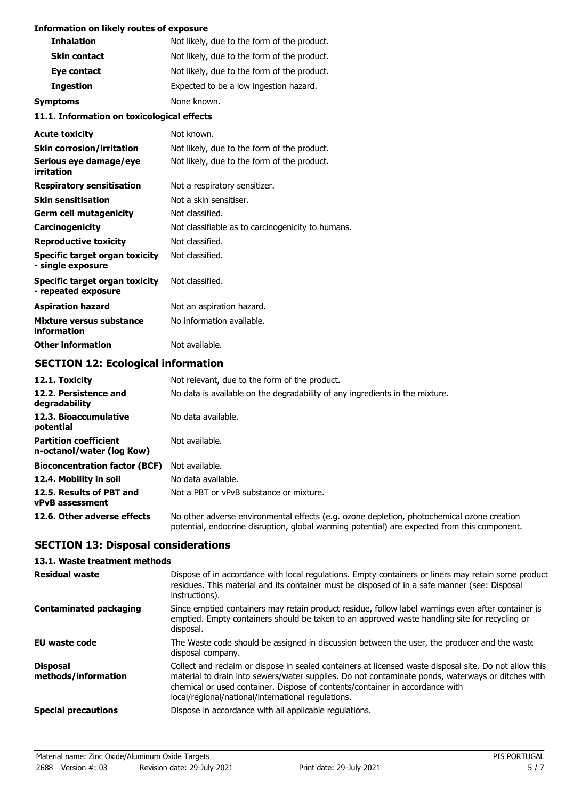### **Information on likely routes of exposure**

| <b>Inhalation</b>                                            | Not likely, due to the form of the product.       |
|--------------------------------------------------------------|---------------------------------------------------|
| <b>Skin contact</b>                                          | Not likely, due to the form of the product.       |
| Eye contact                                                  | Not likely, due to the form of the product.       |
| <b>Ingestion</b>                                             | Expected to be a low ingestion hazard.            |
| <b>Symptoms</b>                                              | None known.                                       |
| 11.1. Information on toxicological effects                   |                                                   |
| <b>Acute toxicity</b>                                        | Not known.                                        |
| <b>Skin corrosion/irritation</b>                             | Not likely, due to the form of the product.       |
| Serious eye damage/eye<br>irritation                         | Not likely, due to the form of the product.       |
| <b>Respiratory sensitisation</b>                             | Not a respiratory sensitizer.                     |
| <b>Skin sensitisation</b>                                    | Not a skin sensitiser.                            |
| <b>Germ cell mutagenicity</b>                                | Not classified.                                   |
| Carcinogenicity                                              | Not classifiable as to carcinogenicity to humans. |
| <b>Reproductive toxicity</b>                                 | Not classified.                                   |
| Specific target organ toxicity<br>- single exposure          | Not classified.                                   |
| <b>Specific target organ toxicity</b><br>- repeated exposure | Not classified.                                   |
| <b>Aspiration hazard</b>                                     | Not an aspiration hazard.                         |
| Mixture versus substance<br>information                      | No information available.                         |

# **Other information** Not available. **SECTION 12: Ecological information**

#### **12.1. Toxicity** Not relevant, due to the form of the product. **12.2. Persistence and** No data is available on the degradability of any ingredients in the mixture. **degradability** 12.3. Bioaccumulative No data available. **potential**

| potential                                                 |                                                                                                                                                                                            |  |
|-----------------------------------------------------------|--------------------------------------------------------------------------------------------------------------------------------------------------------------------------------------------|--|
| <b>Partition coefficient</b><br>n-octanol/water (log Kow) | Not available.                                                                                                                                                                             |  |
| <b>Bioconcentration factor (BCF)</b>                      | Not available.                                                                                                                                                                             |  |
| 12.4. Mobility in soil                                    | No data available.                                                                                                                                                                         |  |
| 12.5. Results of PBT and<br><b>vPvB</b> assessment        | Not a PBT or vPvB substance or mixture.                                                                                                                                                    |  |
| 12.6. Other adverse effects                               | No other adverse environmental effects (e.g. ozone depletion, photochemical ozone creation<br>potential, endocrine disruption, global warming potential) are expected from this component. |  |

# **SECTION 13: Disposal considerations**

#### **13.1. Waste treatment methods**

| <b>Residual waste</b>                  | Dispose of in accordance with local regulations. Empty containers or liners may retain some product<br>residues. This material and its container must be disposed of in a safe manner (see: Disposal<br>instructions).                                                                                                                            |
|----------------------------------------|---------------------------------------------------------------------------------------------------------------------------------------------------------------------------------------------------------------------------------------------------------------------------------------------------------------------------------------------------|
| <b>Contaminated packaging</b>          | Since emptied containers may retain product residue, follow label warnings even after container is<br>emptied. Empty containers should be taken to an approved waste handling site for recycling or<br>disposal.                                                                                                                                  |
| EU waste code                          | The Waste code should be assigned in discussion between the user, the producer and the waste<br>disposal company.                                                                                                                                                                                                                                 |
| <b>Disposal</b><br>methods/information | Collect and reclaim or dispose in sealed containers at licensed waste disposal site. Do not allow this<br>material to drain into sewers/water supplies. Do not contaminate ponds, waterways or ditches with<br>chemical or used container. Dispose of contents/container in accordance with<br>local/regional/national/international regulations. |
| <b>Special precautions</b>             | Dispose in accordance with all applicable regulations.                                                                                                                                                                                                                                                                                            |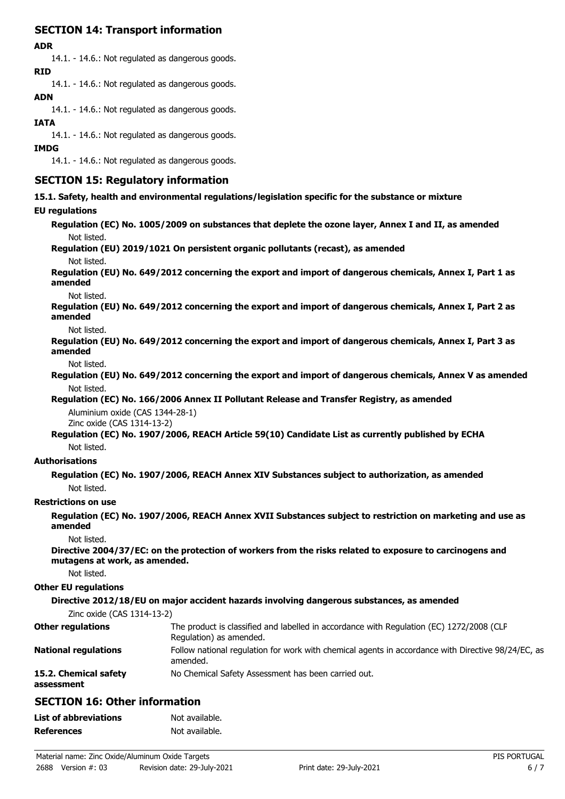# **SECTION 14: Transport information**

### **ADR**

14.1. - 14.6.: Not regulated as dangerous goods. **RID**

14.1. - 14.6.: Not regulated as dangerous goods.

# **ADN**

14.1. - 14.6.: Not regulated as dangerous goods.

### **IATA**

14.1. - 14.6.: Not regulated as dangerous goods.

### **IMDG**

14.1. - 14.6.: Not regulated as dangerous goods.

# **SECTION 15: Regulatory information**

**15.1. Safety, health and environmental regulations/legislation specific for the substance or mixture**

### **EU regulations**

**Regulation (EC) No. 1005/2009 on substances that deplete the ozone layer, Annex I and II, as amended** Not listed.

**Regulation (EU) 2019/1021 On persistent organic pollutants (recast), as amended**

#### Not listed.

**Regulation (EU) No. 649/2012 concerning the export and import of dangerous chemicals, Annex I, Part 1 as amended**

#### Not listed.

**Regulation (EU) No. 649/2012 concerning the export and import of dangerous chemicals, Annex I, Part 2 as amended**

Not listed.

**Regulation (EU) No. 649/2012 concerning the export and import of dangerous chemicals, Annex I, Part 3 as amended**

#### Not listed.

**Regulation (EU) No. 649/2012 concerning the export and import of dangerous chemicals, Annex V as amended** Not listed.

### **Regulation (EC) No. 166/2006 Annex II Pollutant Release and Transfer Registry, as amended** Aluminium oxide (CAS 1344-28-1)

Zinc oxide (CAS 1314-13-2)

**Regulation (EC) No. 1907/2006, REACH Article 59(10) Candidate List as currently published by ECHA** Not listed.

### **Authorisations**

**Regulation (EC) No. 1907/2006, REACH Annex XIV Substances subject to authorization, as amended** Not listed.

### **Restrictions on use**

**Regulation (EC) No. 1907/2006, REACH Annex XVII Substances subject to restriction on marketing and use as amended**

Not listed.

**Directive 2004/37/EC: on the protection of workers from the risks related to exposure to carcinogens and mutagens at work, as amended.**

Not listed.

### **Other EU regulations**

### **Directive 2012/18/EU on major accident hazards involving dangerous substances, as amended**

Zinc oxide (CAS 1314-13-2)

| <b>Other regulations</b>            | The product is classified and labelled in accordance with Regulation (EC) 1272/2008 (CLP<br>Regulation) as amended. |
|-------------------------------------|---------------------------------------------------------------------------------------------------------------------|
| <b>National regulations</b>         | Follow national regulation for work with chemical agents in accordance with Directive 98/24/EC, as<br>amended.      |
| 15.2. Chemical safety<br>assessment | No Chemical Safety Assessment has been carried out.                                                                 |

# **SECTION 16: Other information**

| List of abbreviations | Not available. |
|-----------------------|----------------|
| References            | Not available. |